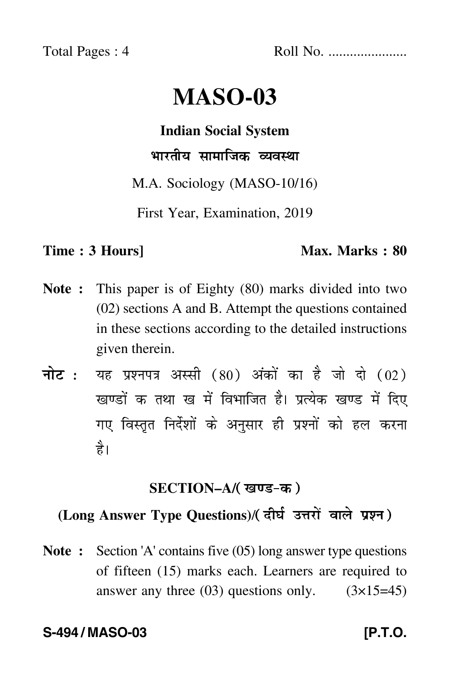Total Pages : 4 Roll No. ......................

# **MASO-03**

**Indian Social System** भारतीय सामाजिक व्यवस्था

M.A. Sociology (MASO-10/16)

First Year, Examination, 2019

#### **Time : 3 Hours]** Max. Marks : 80

- **Note :** This paper is of Eighty (80) marks divided into two (02) sections A and B. Attempt the questions contained in these sections according to the detailed instructions given therein.
- नोट : यह प्रश्नपत्र अस्सी (80) अंकों का है जो दो (02) खण्डों क तथा ख में विभाजित है। प्रत्येक खण्ड में दिए गए विस्तृत निर्देशों के अनुसार ही प्रश्नों को हल करन<mark>ा</mark> है।

## <u>SECTION–A/( खण्ड-क</u> )

# (Long Answer Type Questions)/( दीर्घ उत्तरों वाले प्रश्न )

**Note :** Section 'A' contains five (05) long answer type questions of fifteen (15) marks each. Learners are required to answer any three  $(03)$  questions only.  $(3\times15=45)$ 

#### **S-494 / MASO-03 [P.T.O.**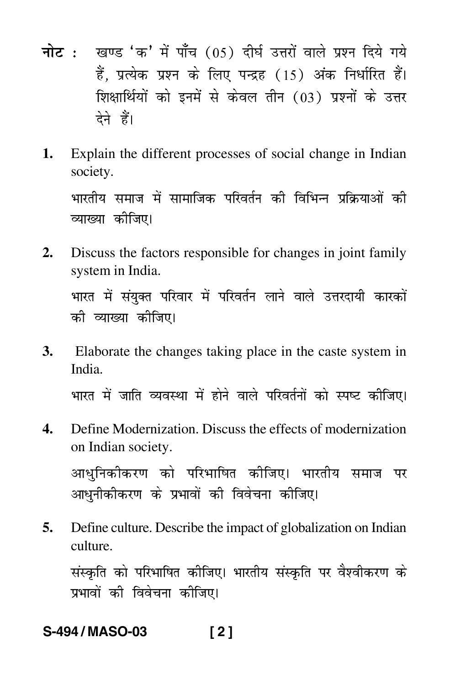- <mark>नोट</mark> : खण्ड 'क' में पाँच (05) दीर्घ उत्तरों वाले प्रश्न दिये गये हैं, प्रत्येक प्रश्न के लिए पन्द्रह (15) अंक निर्धारित हैं। शिक्षार्थियों को इनमें से केवल तीन (03) प्रश्नों के उत्तर देने हैं।
- **1.** Explain the different processes of social change in Indian society.

भारतीय समाज में सामाजिक परिवर्तन की विभिन्न प्रक्रियाओं की -व्याख्या कीजिए।

**2.** Discuss the factors responsible for changes in joint family system in India.

भारत में संयुक्त परिवार में परिवर्तन लाने वाले उत्तरदायी कारकों -की व्याख्या क<mark>ी</mark>जिए।

- **3.** Elaborate the changes taking place in the caste system in India. भारत में जाति व्यवस्था में होने वाले परिवर्तनों को स्पष्ट कीजिए। ---
- **4.** Define Modernization. Discuss the effects of modernization on Indian society.

आधुनिकीकरण को परिभाषित कीजिए। भारतीय समाज पर --आधुनीकीकरण के प्रभावों की विवेचना कीजिए। -

**5.** Define culture. Describe the impact of globalization on Indian culture.

संस्कृति को परिभाषित कीजिए। भारतीय संस्कृति पर वैश्वीकरण के --प्रभावों की विवेचना कीजिए। -

# **S-494 / MASO-03 [ 2 ]**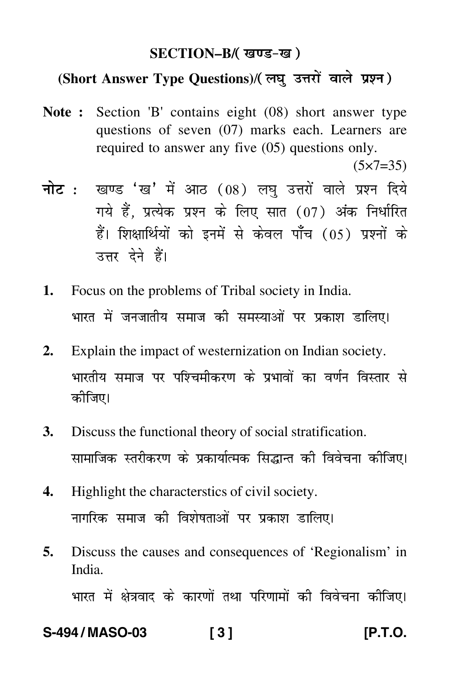### SECTION–B/( खण्ड-ख )

### (Short Answer Type Questions)/(लघु उत्तरों वाले प्रश्न)

**Note :** Section 'B' contains eight (08) short answer type questions of seven (07) marks each. Learners are required to answer any five (05) questions only.

 $(5 \times 7 = 35)$ 

- <mark>नोट</mark> : खण्ड 'ख' में आठ (08) लघु उत्तरों वाले प्रश्न दिये गये हैं, प्रत्येक प्रश्न के लिए सात (07) अंक निर्धारित हैं। शिक्षार्थियों को इनमें से केवल पाँच (05) प्रश्नों के उत्तर देने हैं।
- **1.** Focus on the problems of Tribal society in India. भारत में जनजातीय समाज की समस्याओं पर प्रकाश डालिए। --
- **2.** Explain the impact of westernization on Indian society. भारतीय समाज पर पश्चिमीकरण के प्रभावों का वर्णन विस्तार से --कीजिए।
- **3.** Discuss the functional theory of social stratification. सामाजिक स्तरीकरण के प्रकार्यात्मक सिद्धान्त की विवेचना कीजिए।
- **4.** Highlight the characterstics of civil society. नागरिक समाज की विशेषताओं पर प्रकाश डालिए।
- **5.** Discuss the causes and consequences of 'Regionalism' in India.

भारत में क्षेत्रवाद के कारणों तथा परिणामों की विवेचना कीजिए। -Ì --

#### **S-494 / MASO-03 [ 3 ] [P.T.O.**